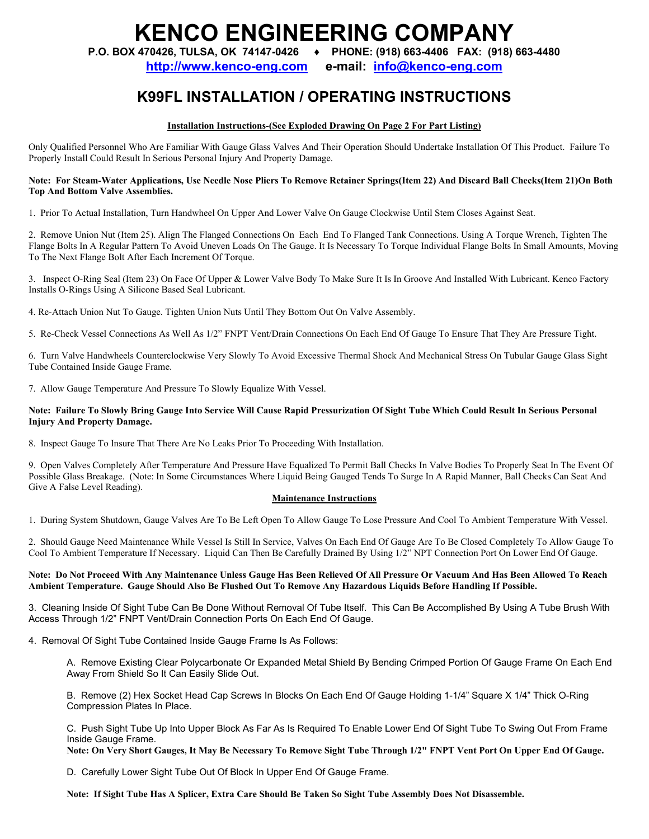# **KENCO ENGINEERING COMPANY**

**P.O. BOX 470426, TULSA, OK 74147-0426 ♦ PHONE: (918) 663-4406 FAX: (918) 663-4480**

**http://www.kenco-eng.com e-mail: info@kenco-eng.com**

# **K99FL INSTALLATION / OPERATING INSTRUCTIONS**

# **Installation Instructions-(See Exploded Drawing On Page 2 For Part Listing)**

Only Qualified Personnel Who Are Familiar With Gauge Glass Valves And Their Operation Should Undertake Installation Of This Product. Failure To Properly Install Could Result In Serious Personal Injury And Property Damage.

#### **Note: For Steam-Water Applications, Use Needle Nose Pliers To Remove Retainer Springs(Item 22) And Discard Ball Checks(Item 21)On Both Top And Bottom Valve Assemblies.**

1. Prior To Actual Installation, Turn Handwheel On Upper And Lower Valve On Gauge Clockwise Until Stem Closes Against Seat.

2. Remove Union Nut (Item 25). Align The Flanged Connections On Each End To Flanged Tank Connections. Using A Torque Wrench, Tighten The Flange Bolts In A Regular Pattern To Avoid Uneven Loads On The Gauge. It Is Necessary To Torque Individual Flange Bolts In Small Amounts, Moving To The Next Flange Bolt After Each Increment Of Torque.

3. Inspect O-Ring Seal (Item 23) On Face Of Upper & Lower Valve Body To Make Sure It Is In Groove And Installed With Lubricant. Kenco Factory Installs O-Rings Using A Silicone Based Seal Lubricant.

4. Re-Attach Union Nut To Gauge. Tighten Union Nuts Until They Bottom Out On Valve Assembly.

5. Re-Check Vessel Connections As Well As 1/2" FNPT Vent/Drain Connections On Each End Of Gauge To Ensure That They Are Pressure Tight.

6. Turn Valve Handwheels Counterclockwise Very Slowly To Avoid Excessive Thermal Shock And Mechanical Stress On Tubular Gauge Glass Sight Tube Contained Inside Gauge Frame.

7. Allow Gauge Temperature And Pressure To Slowly Equalize With Vessel.

#### **Note: Failure To Slowly Bring Gauge Into Service Will Cause Rapid Pressurization Of Sight Tube Which Could Result In Serious Personal Injury And Property Damage.**

8. Inspect Gauge To Insure That There Are No Leaks Prior To Proceeding With Installation.

9. Open Valves Completely After Temperature And Pressure Have Equalized To Permit Ball Checks In Valve Bodies To Properly Seat In The Event Of Possible Glass Breakage. (Note: In Some Circumstances Where Liquid Being Gauged Tends To Surge In A Rapid Manner, Ball Checks Can Seat And Give A False Level Reading).

## **Maintenance Instructions**

1. During System Shutdown, Gauge Valves Are To Be Left Open To Allow Gauge To Lose Pressure And Cool To Ambient Temperature With Vessel.

2. Should Gauge Need Maintenance While Vessel Is Still In Service, Valves On Each End Of Gauge Are To Be Closed Completely To Allow Gauge To Cool To Ambient Temperature If Necessary. Liquid Can Then Be Carefully Drained By Using 1/2" NPT Connection Port On Lower End Of Gauge.

## **Note: Do Not Proceed With Any Maintenance Unless Gauge Has Been Relieved Of All Pressure Or Vacuum And Has Been Allowed To Reach Ambient Temperature. Gauge Should Also Be Flushed Out To Remove Any Hazardous Liquids Before Handling If Possible.**

3. Cleaning Inside Of Sight Tube Can Be Done Without Removal Of Tube Itself. This Can Be Accomplished By Using A Tube Brush With Access Through 1/2" FNPT Vent/Drain Connection Ports On Each End Of Gauge.

4. Removal Of Sight Tube Contained Inside Gauge Frame Is As Follows:

A. Remove Existing Clear Polycarbonate Or Expanded Metal Shield By Bending Crimped Portion Of Gauge Frame On Each End Away From Shield So It Can Easily Slide Out.

B. Remove (2) Hex Socket Head Cap Screws In Blocks On Each End Of Gauge Holding 1-1/4" Square X 1/4" Thick O-Ring Compression Plates In Place.

C. Push Sight Tube Up Into Upper Block As Far As Is Required To Enable Lower End Of Sight Tube To Swing Out From Frame Inside Gauge Frame.

**Note: On Very Short Gauges, It May Be Necessary To Remove Sight Tube Through 1/2" FNPT Vent Port On Upper End Of Gauge.** 

D. Carefully Lower Sight Tube Out Of Block In Upper End Of Gauge Frame.

**Note: If Sight Tube Has A Splicer, Extra Care Should Be Taken So Sight Tube Assembly Does Not Disassemble.**